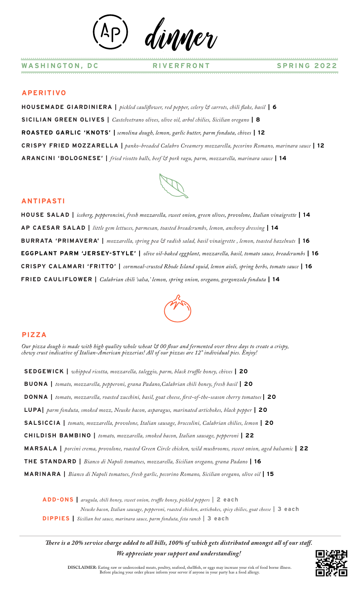dinner

### **APERITIVO**

**HOUSEMADE GIARDINIERA** | *pickled cauliflower, red pepper, celery & carrots, chili flake, basil* | 6 **SICILIAN GREEN OLIVES |** *Castelvetrano olives, olive oil, arbol chilies, Sicilian oregano* **| 8 ROASTED GARLIC 'KNOTS' |** *semolina dough, lemon, garlic butter, parm fonduta, chives* **| 12 CRISPY FRIED MOZZARELLA |** *panko-breaded Calabro Creamery mozzarella, pecorino Romano, marinara sauce* **| 12 ARANCINI 'BOLOGNESE' |** *fried risotto balls, beef & pork ragu, parm, mozzarella, marinara sauce* **| 14**

### **ANTIPASTI**

**HOUSE SALAD |** *iceberg, pepperoncini, fresh mozzarella, sweet onion, green olives, provolone, Italian vinaigrette* **| 14 AP CAESAR SALAD |** *little gem lettuces, parmesan, toasted breadcrumbs, lemon, anchovy dressing* **| 14 BURRATA 'PRIMAVERA' |** *mozzarella, spring pea & radish salad, basil vinaigrette , lemon, toasted hazelnuts* **| 16 EGGPLANT PARM 'JERSEY-STYLE' |** *olive oil-baked eggplant, mozzarella, basil, tomato sauce, breadcrumbs* **| 16 CRISPY CALAMARI 'FRITTO' |** *cornmeal-crusted Rhode Island squid, lemon aioli, spring herbs, tomato sauce* **| 16 FRIED CAULIFLOWER |** *Calabrian chili 'salsa,' lemon, spring onion, oregano, gorgonzola fonduta* **| 14**



#### **PIZZA**

*Our pizza dough is made with high quality whole wheat*  $\mathfrak{S}$  *00 flour and fermented over three days to create a crispy, chewy crust indicative of Italian-American pizzerias! All of our pizzas are 12" individual pies. Enjoy!*

**SEDGEWICK** | *whipped ricotta, mozzarella, taleggio, parm, black truffle honey, chives* | 20

**BUONA |** *tomato, mozzarella, pepperoni, grana Padano,Calabrian chili honey, fresh basil* **| 20**

**DONNA** | *tomato, mozzarella, roasted zucchini, basil, goat cheese, first-of-the-season cherry tomatoes* | 20

**LUPA|** *parm fonduta, smoked mozz, Neuske bacon, asparagus, marinated artichokes, black pepper* **| 20**

**SALSICCIA |** *tomato, mozzarella, provolone, Italian sausage, broccolini, Calabrian chilies, lemon* **| 20**

**CHILDISH BAMBINO |** *tomato, mozzarella, smoked bacon, Italian sausage, pepperoni* **| 22**

**MARSALA |** *porcini crema, provolone, roasted Green Circle chicken, wild mushrooms, sweet onion, aged balsamic* **| 22**

**THE STANDARD |** *Bianco di Napoli tomatoes, mozzarella, Sicilian oregano, grana Padano* **| 16**

**MARINARA |** *Bianco di Napoli tomatoes, fresh garlic, pecorino Romano, Sicilian oregano, olive oil* **| 15**

**ADD-ONS |** *arugula, chili honey, sweet onion, true honey, pickled peppers* **| 2 each**  *Neuske bacon, Italian sausage, pepperoni, roasted chicken, artichokes, spicy chilies, goat cheese* **| 3 each DIPPIES |** *Sicilian hot sauce, marinara sauce, parm fonduta, feta ranch* **| 3 each**

*There is a 20% service charge added to all bills, 100% of which gets distributed amongst all of our staff. We appreciate your support and understanding!*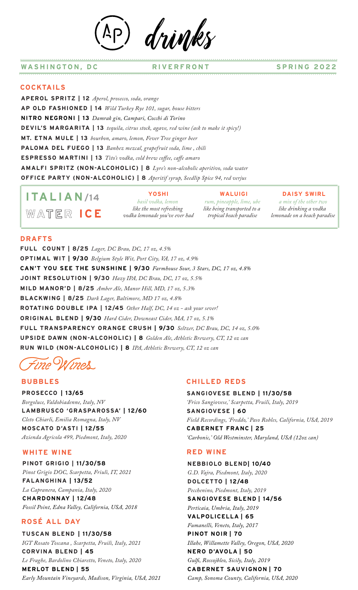d*rivuk* 

#### **WASHINGTON, DC RIVERFRONT SPRING 2022**

#### **COCKTAILS**

**APEROL SPRITZ | 12** *Aperol, prosecco, soda, orange* **AP OLD FASHIONED | 14** *Wild Turkey Rye 101, sugar, house bitters* **NITRO NEGRONI | 13** *Damrak gin, Campari, Cocchi di Torino* **DEVIL'S MARGARITA | 13** *tequila, citrus stock, agave, red wine (ask to make it spicy!)* **MT. ETNA MULE | 13** *bourbon, amaro, lemon, Fever Tree ginger beer* **PALOMA DEL FUEGO | 13** *Banhez mezcal, grapefruit soda, lime , chili* **ESPRESSO MARTINI | 13** *Tito's vodka, cold brew coffee, caffe amaro* **AMALFI SPRITZ (NON-ALCOHOLIC) | 8** *Lyre's non-alcoholic aperitivo, soda water* **OFFICE PARTY (NON-ALCOHOLIC) | 8** *Aperitif syrup, Seedlip Spice 94, red verjus*

**WALUIGI ITALIAN /14 WATER ICE** 

**YOSHI** *basil vodka, lemon like the most refreshing vodka lemonade you've ever had*

*rum, pineapple, lime, ube like being transported to a tropical beach paradise*

**DAISY SWIRL** *a mix of the other two like drinking a vodka* 

*lemonade on a beach paradise*

#### **DRAFTS**

**FULL COUNT | 8/25** *Lager, DC Brau, DC, 17 oz, 4.5%* **OPTIMAL WIT | 9/30** *Belgium Style Wit, Port City, VA, 17 oz, 4.9%* **CAN'T YOU SEE THE SUNSHINE | 9/30** *Farmhouse Sour, 3 Stars, DC, 17 oz, 4.8%* **JOINT RESOLUTION | 9/30** *Hazy IPA, DC Brau, DC, 17 oz, 5.5%* **MILD MANOR'D | 8/25** *Amber Ale, Manor Hill, MD, 17 oz, 5.3%* **BLACKWING | 8/25** *Dark Lager, Baltimore, MD 17 oz, 4.8%* **ROTATING DOUBLE IPA | 12/45** *Other Half, DC, 14 oz - ask your sever!* **ORIGINAL BLEND | 9/30** *Hard Cider, Downeast Cider, MA, 17 oz, 5.1%* **FULL TRANSPARENCY ORANGE CRUSH | 9/30** *Seltzer, DC Brau, DC, 14 oz, 5.0%* **UPSIDE DAWN (NON-ALCOHOLIC) | 8** *Golden Ale, Athletic Brewery, CT, 12 oz can* **RUN WILD (NON-ALCOHOLIC) | 8** *IPA, Athletic Brewery, CT, 12 oz can*

Wines

### **BUBBLES**

**PROSECCO****| 13/65** *Borgoluce, Valdobiadenne, Italy, NV* **LAMBRUSCO 'GRASPAROSSA' | 12/60** *Cleto Chiarli, Emilia Romagna, Italy, NV* **MOSCATO D'ASTI | 12/55** *Azienda Agricola 499, Piedmont, Italy, 2020*

#### **WHITE WINE**

**PINOT GRIGIO | 11/30/58** *Pinot Grigio DOC, Scarpetta, Friuli, IT, 2021* **FALANGHINA | 13/52** *La Capranera, Campania, Italy, 2020* **CHARDONNAY | 12/48**

*Fossil Point, Edna Valley, California, USA, 2018*

## **ROSÉ ALL DAY**

**TUSCAN BLEND****| 11/30/58** *IGT Rosato Toscana , Scarpetta, Fruili, Italy, 2021* **CORVINA BLEND | 45** *Le Fraghe, Bardolino Chiaretto, Veneto, Italy, 2020* **MERLOT BLEND | 55** *Early Mountain Vineyards, Madison, Virginia, USA, 2021*

#### **CHILLED REDS**

**SANGIOVESE BLEND | 11/30/58** *'Frico Sangiovese,' Scarpetta, Fruili, Italy, 2019* **SANGIOVESE | 60** *Field Recordings, 'Freddo,' Paso Robles, California, USA, 2019* **CABERNET FRANC | 25** *'Carbonic,' Old Westminster, Maryland, USA (12oz can)*

#### **RED WINE**

**NEBBIOLO BLEND| 10/40** *G.D. Vajra, Piedmont, Italy, 2020* **DOLCETTO | 12/48** *Pecchenino, Piedmont, Italy, 2019* **SANGIOVESE BLEND | 14/56** *Perticaia, Umbria, Italy, 2019* **VALPOLICELLA | 65** *Fumanelli, Veneto, Italy, 2017* **PINOT NOIR | 70** *Illahe, Willamette Valley, Oregon, USA, 2020* **NERO D'AVOLA | 50** *Gul, Rossojbleo, Sicily, Italy, 2019* **CABERNET SAUVIGNON | 70** *Camp, Sonoma County, California, USA, 2020*